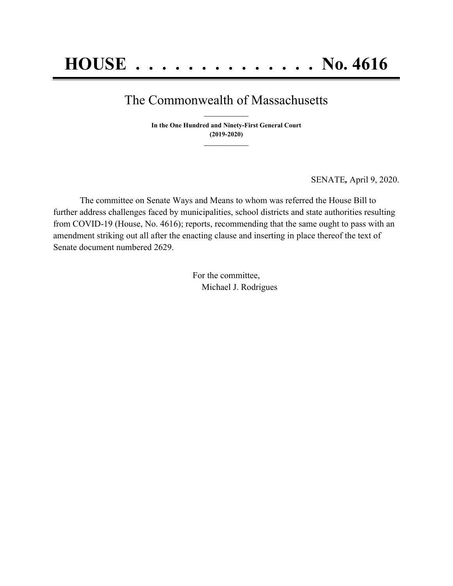## The Commonwealth of Massachusetts **\_\_\_\_\_\_\_\_\_\_\_\_\_\_\_**

**In the One Hundred and Ninety-First General Court (2019-2020) \_\_\_\_\_\_\_\_\_\_\_\_\_\_\_**

SENATE*,* April 9, 2020.

The committee on Senate Ways and Means to whom was referred the House Bill to further address challenges faced by municipalities, school districts and state authorities resulting from COVID-19 (House, No. 4616); reports, recommending that the same ought to pass with an amendment striking out all after the enacting clause and inserting in place thereof the text of Senate document numbered 2629.

> For the committee, Michael J. Rodrigues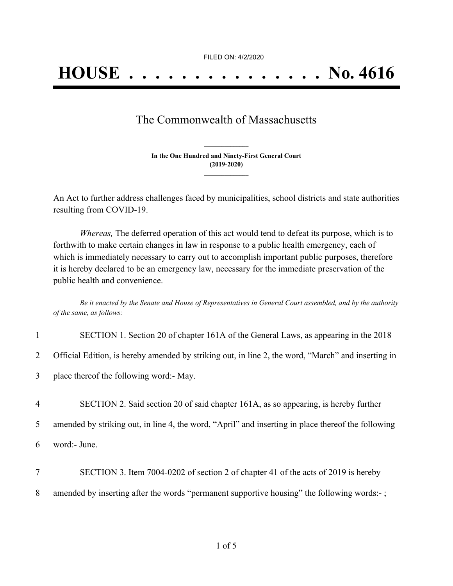FILED ON: 4/2/2020

## The Commonwealth of Massachusetts

**In the One Hundred and Ninety-First General Court (2019-2020) \_\_\_\_\_\_\_\_\_\_\_\_\_\_\_**

**\_\_\_\_\_\_\_\_\_\_\_\_\_\_\_**

An Act to further address challenges faced by municipalities, school districts and state authorities resulting from COVID-19.

*Whereas,* The deferred operation of this act would tend to defeat its purpose, which is to forthwith to make certain changes in law in response to a public health emergency, each of which is immediately necessary to carry out to accomplish important public purposes, therefore it is hereby declared to be an emergency law, necessary for the immediate preservation of the public health and convenience.

Be it enacted by the Senate and House of Representatives in General Court assembled, and by the authority *of the same, as follows:*

| $\mathbf{1}$   | SECTION 1. Section 20 of chapter 161A of the General Laws, as appearing in the 2018                |
|----------------|----------------------------------------------------------------------------------------------------|
| $\overline{2}$ | Official Edition, is hereby amended by striking out, in line 2, the word, "March" and inserting in |
| 3              | place thereof the following word: May.                                                             |
| $\overline{4}$ | SECTION 2. Said section 20 of said chapter 161A, as so appearing, is hereby further                |
| 5              | amended by striking out, in line 4, the word, "April" and inserting in place thereof the following |
| 6              | word:- June.                                                                                       |
| 7              | SECTION 3. Item 7004-0202 of section 2 of chapter 41 of the acts of 2019 is hereby                 |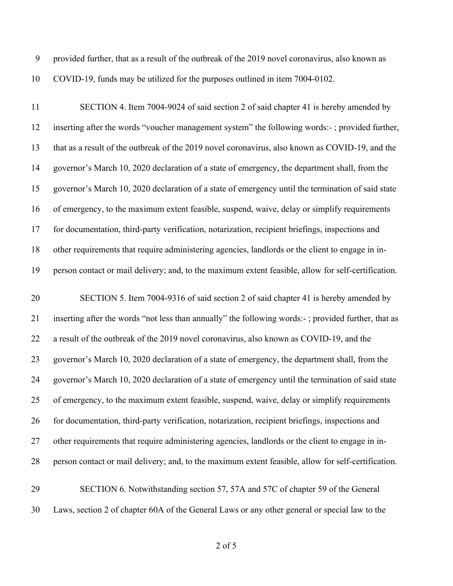provided further, that as a result of the outbreak of the 2019 novel coronavirus, also known as COVID-19, funds may be utilized for the purposes outlined in item 7004-0102.

 SECTION 4. Item 7004-9024 of said section 2 of said chapter 41 is hereby amended by inserting after the words "voucher management system" the following words:- ; provided further, that as a result of the outbreak of the 2019 novel coronavirus, also known as COVID-19, and the governor's March 10, 2020 declaration of a state of emergency, the department shall, from the governor's March 10, 2020 declaration of a state of emergency until the termination of said state of emergency, to the maximum extent feasible, suspend, waive, delay or simplify requirements for documentation, third-party verification, notarization, recipient briefings, inspections and other requirements that require administering agencies, landlords or the client to engage in in-person contact or mail delivery; and, to the maximum extent feasible, allow for self-certification.

 SECTION 5. Item 7004-9316 of said section 2 of said chapter 41 is hereby amended by inserting after the words "not less than annually" the following words:- ; provided further, that as a result of the outbreak of the 2019 novel coronavirus, also known as COVID-19, and the governor's March 10, 2020 declaration of a state of emergency, the department shall, from the governor's March 10, 2020 declaration of a state of emergency until the termination of said state of emergency, to the maximum extent feasible, suspend, waive, delay or simplify requirements for documentation, third-party verification, notarization, recipient briefings, inspections and other requirements that require administering agencies, landlords or the client to engage in in-person contact or mail delivery; and, to the maximum extent feasible, allow for self-certification.

 SECTION 6. Notwithstanding section 57, 57A and 57C of chapter 59 of the General Laws, section 2 of chapter 60A of the General Laws or any other general or special law to the

of 5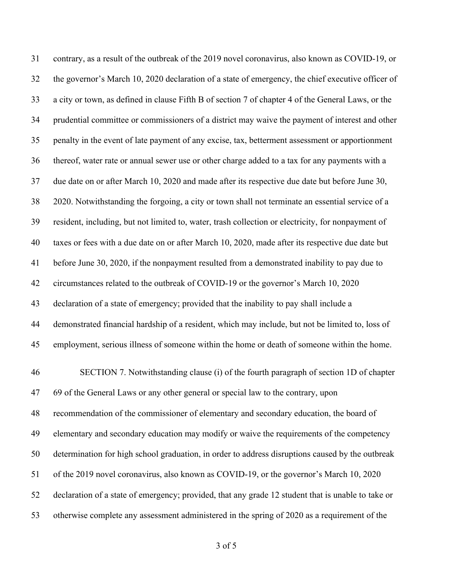contrary, as a result of the outbreak of the 2019 novel coronavirus, also known as COVID-19, or the governor's March 10, 2020 declaration of a state of emergency, the chief executive officer of a city or town, as defined in clause Fifth B of section 7 of chapter 4 of the General Laws, or the prudential committee or commissioners of a district may waive the payment of interest and other penalty in the event of late payment of any excise, tax, betterment assessment or apportionment thereof, water rate or annual sewer use or other charge added to a tax for any payments with a due date on or after March 10, 2020 and made after its respective due date but before June 30, 2020. Notwithstanding the forgoing, a city or town shall not terminate an essential service of a resident, including, but not limited to, water, trash collection or electricity, for nonpayment of taxes or fees with a due date on or after March 10, 2020, made after its respective due date but before June 30, 2020, if the nonpayment resulted from a demonstrated inability to pay due to circumstances related to the outbreak of COVID-19 or the governor's March 10, 2020 declaration of a state of emergency; provided that the inability to pay shall include a demonstrated financial hardship of a resident, which may include, but not be limited to, loss of employment, serious illness of someone within the home or death of someone within the home. SECTION 7. Notwithstanding clause (i) of the fourth paragraph of section 1D of chapter 69 of the General Laws or any other general or special law to the contrary, upon recommendation of the commissioner of elementary and secondary education, the board of elementary and secondary education may modify or waive the requirements of the competency determination for high school graduation, in order to address disruptions caused by the outbreak of the 2019 novel coronavirus, also known as COVID-19, or the governor's March 10, 2020 declaration of a state of emergency; provided, that any grade 12 student that is unable to take or otherwise complete any assessment administered in the spring of 2020 as a requirement of the

of 5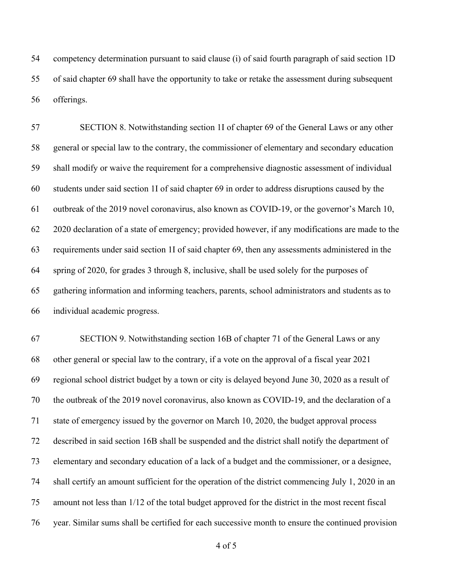competency determination pursuant to said clause (i) of said fourth paragraph of said section 1D of said chapter 69 shall have the opportunity to take or retake the assessment during subsequent offerings.

 SECTION 8. Notwithstanding section 1I of chapter 69 of the General Laws or any other general or special law to the contrary, the commissioner of elementary and secondary education shall modify or waive the requirement for a comprehensive diagnostic assessment of individual students under said section 1I of said chapter 69 in order to address disruptions caused by the outbreak of the 2019 novel coronavirus, also known as COVID-19, or the governor's March 10, 2020 declaration of a state of emergency; provided however, if any modifications are made to the requirements under said section 1I of said chapter 69, then any assessments administered in the spring of 2020, for grades 3 through 8, inclusive, shall be used solely for the purposes of gathering information and informing teachers, parents, school administrators and students as to individual academic progress.

 SECTION 9. Notwithstanding section 16B of chapter 71 of the General Laws or any other general or special law to the contrary, if a vote on the approval of a fiscal year 2021 regional school district budget by a town or city is delayed beyond June 30, 2020 as a result of the outbreak of the 2019 novel coronavirus, also known as COVID-19, and the declaration of a state of emergency issued by the governor on March 10, 2020, the budget approval process described in said section 16B shall be suspended and the district shall notify the department of elementary and secondary education of a lack of a budget and the commissioner, or a designee, shall certify an amount sufficient for the operation of the district commencing July 1, 2020 in an amount not less than 1/12 of the total budget approved for the district in the most recent fiscal year. Similar sums shall be certified for each successive month to ensure the continued provision

of 5